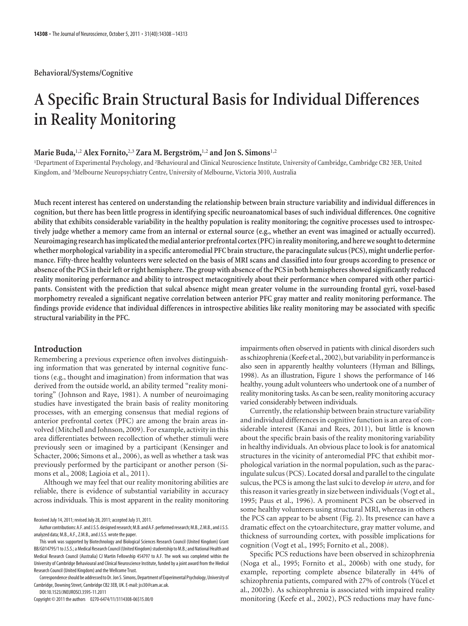### **Behavioral/Systems/Cognitive**

# **A Specific Brain Structural Basis for Individual Differences in Reality Monitoring**

## **Marie Buda,**1,2 **Alex Fornito,**2,3 **Zara M. Bergstro¨m,**1,2 **and Jon S. Simons**1,2

<sup>1</sup>Department of Experimental Psychology, and <sup>2</sup>Behavioural and Clinical Neuroscience Institute, University of Cambridge, Cambridge CB2 3EB, United Kingdom, and <sup>3</sup> Melbourne Neuropsychiatry Centre, University of Melbourne, Victoria 3010, Australia

**Much recent interest has centered on understanding the relationship between brain structure variability and individual differences in cognition, but there has been little progress in identifying specific neuroanatomical bases of such individual differences. One cognitive ability that exhibits considerable variability in the healthy population is reality monitoring; the cognitive processes used to introspectively judge whether a memory came from an internal or external source (e.g., whether an event was imagined or actually occurred).** Neuroimaging research has implicated the medial anterior prefrontal cortex (PFC) in reality monitoring, and here we sought to determine **whether morphological variability in a specific anteromedial PFC brain structure, the paracingulate sulcus (PCS), might underlie performance. Fifty-three healthy volunteers were selected on the basis of MRI scans and classified into four groups according to presence or absence of the PCS in their left or right hemisphere. The group with absence of the PCS in both hemispheres showed significantly reduced reality monitoring performance and ability to introspect metacognitively about their performance when compared with other participants. Consistent with the prediction that sulcal absence might mean greater volume in the surrounding frontal gyri, voxel-based morphometry revealed a significant negative correlation between anterior PFC gray matter and reality monitoring performance. The findings provide evidence that individual differences in introspective abilities like reality monitoring may be associated with specific structural variability in the PFC.**

## **Introduction**

Remembering a previous experience often involves distinguishing information that was generated by internal cognitive functions (e.g., thought and imagination) from information that was derived from the outside world, an ability termed "reality monitoring" (Johnson and Raye, 1981). A number of neuroimaging studies have investigated the brain basis of reality monitoring processes, with an emerging consensus that medial regions of anterior prefrontal cortex (PFC) are among the brain areas involved (Mitchell and Johnson, 2009). For example, activity in this area differentiates between recollection of whether stimuli were previously seen or imagined by a participant (Kensinger and Schacter, 2006; Simons et al., 2006), as well as whether a task was previously performed by the participant or another person (Simons et al., 2008; Lagioia et al., 2011).

Although we may feel that our reality monitoring abilities are reliable, there is evidence of substantial variability in accuracy across individuals. This is most apparent in the reality monitoring

Correspondence should be addressed to Dr. Jon S. Simons, Department of Experimental Psychology, University of Cambridge, Downing Street, Cambridge CB2 3EB, UK. E-mail: jss30@cam.ac.uk.

DOI:10.1523/JNEUROSCI.3595-11.2011 Copyright © 2011 the authors 0270-6474/11/3114308-06\$15.00/0

impairments often observed in patients with clinical disorders such as schizophrenia (Keefe et al., 2002), but variability in performance is also seen in apparently healthy volunteers (Hyman and Billings, 1998). As an illustration, Figure 1 shows the performance of 146 healthy, young adult volunteers who undertook one of a number of reality monitoring tasks. As can be seen, reality monitoring accuracy varied considerably between individuals.

Currently, the relationship between brain structure variability and individual differences in cognitive function is an area of considerable interest (Kanai and Rees, 2011), but little is known about the specific brain basis of the reality monitoring variability in healthy individuals. An obvious place to look is for anatomical structures in the vicinity of anteromedial PFC that exhibit morphological variation in the normal population, such as the paracingulate sulcus (PCS). Located dorsal and parallel to the cingulate sulcus, the PCS is among the last sulci to develop *in utero*, and for this reason it varies greatly in size between individuals (Vogt et al., 1995; Paus et al., 1996). A prominent PCS can be observed in some healthy volunteers using structural MRI, whereas in others the PCS can appear to be absent (Fig. 2). Its presence can have a dramatic effect on the cytoarchitecture, gray matter volume, and thickness of surrounding cortex, with possible implications for cognition (Vogt et al., 1995; Fornito et al., 2008).

Specific PCS reductions have been observed in schizophrenia (Noga et al., 1995; Fornito et al., 2006b) with one study, for example, reporting complete absence bilaterally in 44% of schizophrenia patients, compared with 27% of controls (Yücel et al., 2002b). As schizophrenia is associated with impaired reality monitoring (Keefe et al., 2002), PCS reductions may have func-

Received July 14, 2011; revised July 28, 2011; accepted July 31, 2011.

Author contributions: A.F. and J.S.S. designed research; M.B. and A.F. performed research; M.B., Z.M.B., and J.S.S. analyzed data; M.B., A.F., Z.M.B., and J.S.S. wrote the paper.

This work was supported by Biotechnology and Biological Sciences Research Council (United Kingdom) Grant BB/G014795/1 to J.S.S.; a Medical Research Council (United Kingdom) studentship to M.B.; and National Health and Medical Research Council (Australia) CJ Martin Fellowship 454797 to A.F. The work was completed within the University of Cambridge Behavioural and Clinical Neuroscience Institute, funded by a joint award from the Medical Research Council (United Kingdom) and the Wellcome Trust.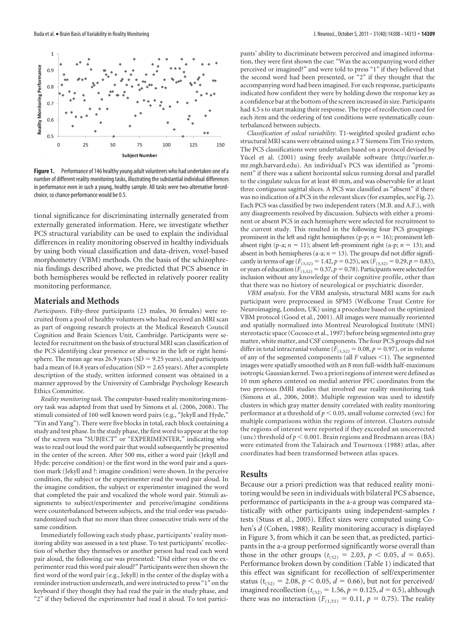

**Figure 1.** Performance of 146 healthy young adult volunteers who had undertaken one of a number of different reality monitoring tasks, illustrating the substantial individual differences in performance even in such a young, healthy sample. All tasks were two-alternative forcedchoice, so chance performance would be 0.5.

tional significance for discriminating internally generated from externally generated information. Here, we investigate whether PCS structural variability can be used to explain the individual differences in reality monitoring observed in healthy individuals by using both visual classification and data-driven, voxel-based morphometry (VBM) methods. On the basis of the schizophrenia findings described above, we predicted that PCS absence in both hemispheres would be reflected in relatively poorer reality monitoring performance.

#### **Materials and Methods**

*Participants.* Fifty-three participants (23 males, 30 females) were recruited from a pool of healthy volunteers who had received an MRI scan as part of ongoing research projects at the Medical Research Council Cognition and Brain Sciences Unit, Cambridge. Participants were selected for recruitment on the basis of structural MRI scan classification of the PCS identifying clear presence or absence in the left or right hemisphere. The mean age was 26.9 years (SD = 9.25 years), and participants had a mean of 16.8 years of education  $(SD = 2.65$  years). After a complete description of the study, written informed consent was obtained in a manner approved by the University of Cambridge Psychology Research Ethics Committee.

*Reality monitoring task.* The computer-based reality monitoring memory task was adapted from that used by Simons et al. (2006, 2008). The stimuli consisted of 160 well known word pairs (e.g., "Jekyll and Hyde," "Yin and Yang"). There were five blocks in total, each block containing a study and test phase. In the study phase, the first word to appear at the top of the screen was "SUBJECT" or "EXPERIMENTER," indicating who was to read out loud the word pair that would subsequently be presented in the center of the screen. After 500 ms, either a word pair (Jekyll and Hyde: perceive condition) or the first word in the word pair and a question mark (Jekyll and ?: imagine condition) were shown. In the perceive condition, the subject or the experimenter read the word pair aloud. In the imagine condition, the subject or experimenter imagined the word that completed the pair and vocalized the whole word pair. Stimuli assignments to subject/experimenter and perceive/imagine conditions were counterbalanced between subjects, and the trial order was pseudorandomized such that no more than three consecutive trials were of the same condition.

Immediately following each study phase, participants' reality monitoring ability was assessed in a test phase. To test participants' recollection of whether they themselves or another person had read each word pair aloud, the following cue was presented: "Did either you or the experimenter read this word pair aloud?" Participants were then shown the first word of the word pair (e.g., Jekyll) in the center of the display with a reminder instruction underneath, and were instructed to press "1" on the keyboard if they thought they had read the pair in the study phase, and "2" if they believed the experimenter had read it aloud. To test participants' ability to discriminate between perceived and imagined information, they were first shown the cue: "Was the accompanying word either perceived or imagined?" and were told to press "1" if they believed that the second word had been presented, or "2" if they thought that the accompanying word had been imagined. For each response, participants indicated how confident they were by holding down the response key as a confidence bar at the bottom of the screen increased in size. Participants had 4.5 s to start making their response. The type of recollection cued for each item and the ordering of test conditions were systematically counterbalanced between subjects.

*Classification of sulcal variability.* T1-weighted spoiled gradient echo structural MRI scans were obtained usinga3T Siemens Tim Trio system. The PCS classifications were undertaken based on a protocol devised by Yücel et al. (2001) using freely available software (http://surfer.nmr.mgh.harvard.edu). An individual's PCS was identified as "prominent" if there was a salient horizontal sulcus running dorsal and parallel to the cingulate sulcus for at least 40 mm, and was observable for at least three contiguous sagittal slices. A PCS was classified as "absent" if there was no indication of a PCS in the relevant slices (for examples, see Fig. 2). Each PCS was classified by two independent raters (M.B. and A.F.), with any disagreements resolved by discussion. Subjects with either a prominent or absent PCS in each hemisphere were selected for recruitment to the current study. This resulted in the following four PCS groupings: prominent in the left and right hemispheres (p-p;  $n = 16$ ); prominent leftabsent right (p-a;  $n = 11$ ); absent left-prominent right (a-p;  $n = 13$ ); and absent in both hemispheres (a-a;  $n = 13$ ). The groups did not differ significantly in terms of age ( $F_{(3,52)} = 1.42$ ,  $p = 0.25$ ), sex ( $F_{(3,52)} = 0.29$ ,  $p = 0.83$ ), or years of education ( $\overline{F_{(3,52)}} = 0.37$ ,  $\overline{p} = 0.78$ ). Participants were selected for inclusion without any knowledge of their cognitive profile, other than that there was no history of neurological or psychiatric disorder.

*VBM analysis.* For the VBM analysis, structural MRI scans for each participant were preprocessed in SPM5 (Wellcome Trust Centre for Neuroimaging, London, UK) using a procedure based on the optimized VBM protocol (Good et al., 2001). All images were manually reoriented and spatially normalized into Montreal Neurological Institute (MNI) stereotactic space (Cocosco et al., 1997) before being segmented into gray matter, white matter, and CSF components. The four PCS groups did not differ in total intracranial volume ( $F_{(3,52)} = 0.08$ ,  $p = 0.97$ ), or in volume of any of the segmented components (all *F* values <1). The segmented images were spatially smoothed with an 8 mm full-width half-maximum isotropic Gaussian kernel. Two a priori regions of interest were defined as 10 mm spheres centered on medial anterior PFC coordinates from the two previous fMRI studies that involved our reality monitoring task (Simons et al., 2006, 2008). Multiple regression was used to identify clusters in which gray matter density correlated with reality monitoring performance at a threshold of  $p < 0.05,$  small volume corrected (svc) for multiple comparisons within the regions of interest. Clusters outside the regions of interest were reported if they exceeded an uncorrected (unc) threshold of  $p < 0.001$ . Brain regions and Brodmann areas (BA) were estimated from the Talairach and Tournoux (1988) atlas, after coordinates had been transformed between atlas spaces.

## **Results**

Because our a priori prediction was that reduced reality monitoring would be seen in individuals with bilateral PCS absence, performance of participants in the a-a group was compared statistically with other participants using independent-samples *t* tests (Stuss et al., 2005). Effect sizes were computed using Cohen's *d* (Cohen, 1988). Reality monitoring accuracy is displayed in Figure 3, from which it can be seen that, as predicted, participants in the a-a group performed significantly worse overall than those in the other groups ( $t_{(52)} = 2.03$ ,  $p < 0.05$ ,  $d = 0.65$ ). Performance broken down by condition (Table 1) indicated that this effect was significant for recollection of self/experimenter status ( $t_{(52)} = 2.08$ ,  $p < 0.05$ ,  $d = 0.66$ ), but not for perceived/ imagined recollection ( $t_{(52)} = 1.56$ ,  $p = 0.125$ ,  $d = 0.5$ ), although there was no interaction ( $F_{(1,51)} = 0.11$ ,  $p = 0.75$ ). The reality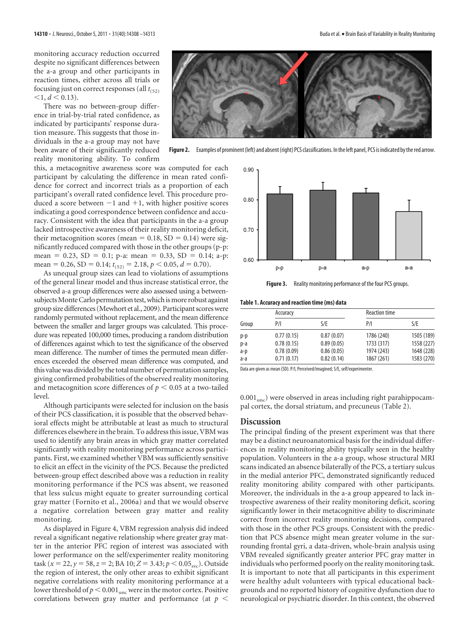monitoring accuracy reduction occurred despite no significant differences between the a-a group and other participants in reaction times, either across all trials or focusing just on correct responses (all  $t_{(52)}$ )  $\leq 1, d \leq 0.13$ ).

There was no between-group difference in trial-by-trial rated confidence, as indicated by participants' response duration measure. This suggests that those individuals in the a-a group may not have been aware of their significantly reduced reality monitoring ability. To confirm



Figure 2. Examples of prominent (left) and absent (right) PCS classifications. In the left panel, PCS is indicated by the red arrow.

this, a metacognitive awareness score was computed for each participant by calculating the difference in mean rated confidence for correct and incorrect trials as a proportion of each participant's overall rated confidence level. This procedure produced a score between  $-1$  and  $+1$ , with higher positive scores indicating a good correspondence between confidence and accuracy. Consistent with the idea that participants in the a-a group lacked introspective awareness of their reality monitoring deficit, their metacognition scores (mean  $= 0.18$ , SD  $= 0.14$ ) were significantly reduced compared with those in the other groups (p-p: mean = 0.23, SD = 0.1; p-a: mean = 0.33, SD = 0.14; a-p: mean = 0.26, SD = 0.14;  $t_{(52)} = 2.18$ ,  $p < 0.05$ ,  $d = 0.70$ ).

As unequal group sizes can lead to violations of assumptions of the general linear model and thus increase statistical error, the observed a-a group differences were also assessed using a betweensubjects Monte Carlo permutation test, which is more robust against group size differences (Mewhort et al., 2009). Participant scoreswere randomly permuted without replacement, and the mean difference between the smaller and larger groups was calculated. This procedure was repeated 100,000 times, producing a random distribution of differences against which to test the significance of the observed mean difference. The number of times the permuted mean differences exceeded the observed mean difference was computed, and this value was divided by the total number of permutation samples, giving confirmed probabilities of the observed reality monitoring and metacognition score differences of  $p < 0.05$  at a two-tailed level.

Although participants were selected for inclusion on the basis of their PCS classification, it is possible that the observed behavioral effects might be attributable at least as much to structural differences elsewhere in the brain. To address this issue, VBM was used to identify any brain areas in which gray matter correlated significantly with reality monitoring performance across participants. First, we examined whether VBM was sufficiently sensitive to elicit an effect in the vicinity of the PCS. Because the predicted between-group effect described above was a reduction in reality monitoring performance if the PCS was absent, we reasoned that less sulcus might equate to greater surrounding cortical gray matter (Fornito et al., 2006a) and that we would observe a negative correlation between gray matter and reality monitoring.

As displayed in Figure 4, VBM regression analysis did indeed reveal a significant negative relationship where greater gray matter in the anterior PFC region of interest was associated with lower performance on the self/experimenter reality monitoring task (*x* = 22, *y* = 58, *z* = 2; BA 10; *Z* = 3.43; *p* < 0.05<sub>svc</sub>). Outside the region of interest, the only other areas to exhibit significant negative correlations with reality monitoring performance at a lower threshold of  $p < 0.001_{\rm unc}$  were in the motor cortex. Positive correlations between gray matter and performance (at  $p <$ 



**Figure 3.** Reality monitoring performance of the four PCS groups.

**Table 1. Accuracy and reaction time (ms) data**

| Group | Accuracy   |            | <b>Reaction time</b> |            |  |
|-------|------------|------------|----------------------|------------|--|
|       | P/I        | S/E        | P/I                  | S/E        |  |
| p-p   | 0.77(0.15) | 0.87(0.07) | 1786 (240)           | 1505 (189) |  |
| p-a   | 0.78(0.15) | 0.89(0.05) | 1733 (317)           | 1558 (227) |  |
| a-p   | 0.78(0.09) | 0.86(0.05) | 1974 (243)           | 1648 (228) |  |
| a-a   | 0.71(0.17) | 0.82(0.14) | 1867 (261)           | 1583 (270) |  |

Data are given as mean (SD). P/I, Perceived/imagined; S/E, self/experimenter.

 $0.001<sub>unc</sub>$ ) were observed in areas including right parahippocampal cortex, the dorsal striatum, and precuneus (Table 2).

## **Discussion**

The principal finding of the present experiment was that there may be a distinct neuroanatomical basis for the individual differences in reality monitoring ability typically seen in the healthy population. Volunteers in the a-a group, whose structural MRI scans indicated an absence bilaterally of the PCS, a tertiary sulcus in the medial anterior PFC, demonstrated significantly reduced reality monitoring ability compared with other participants. Moreover, the individuals in the a-a group appeared to lack introspective awareness of their reality monitoring deficit, scoring significantly lower in their metacognitive ability to discriminate correct from incorrect reality monitoring decisions, compared with those in the other PCS groups. Consistent with the prediction that PCS absence might mean greater volume in the surrounding frontal gyri, a data-driven, whole-brain analysis using VBM revealed significantly greater anterior PFC gray matter in individuals who performed poorly on the reality monitoring task. It is important to note that all participants in this experiment were healthy adult volunteers with typical educational backgrounds and no reported history of cognitive dysfunction due to neurological or psychiatric disorder. In this context, the observed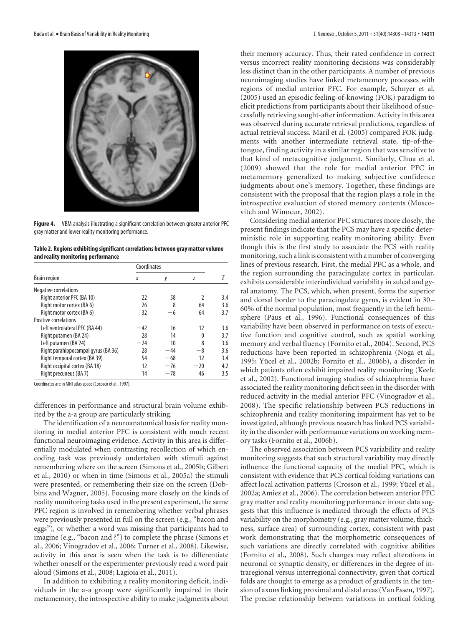

**Figure 4.** VBM analysis illustrating a significant correlation between greater anterior PFC gray matter and lower reality monitoring performance.

**Table 2. Regions exhibiting significant correlations between gray matter volume and reality monitoring performance**

|                                     | Coordinates |       |               |     |  |
|-------------------------------------|-------------|-------|---------------|-----|--|
| <b>Brain region</b>                 | X           | у     | Z             |     |  |
| Negative correlations               |             |       |               |     |  |
| Right anterior PFC (BA 10)          | 22          | 58    | $\mathfrak z$ | 3.4 |  |
| Right motor cortex (BA 6)           | 26          | 8     | 64            | 3.6 |  |
| Right motor cortex (BA 6)           | 32          | -6    | 64            | 3.7 |  |
| <b>Positive correlations</b>        |             |       |               |     |  |
| Left ventrolateral PFC (BA 44)      | $-42$       | 16    | 12            | 3.6 |  |
| Right putamen (BA 24)               | 28          | 14    | 0             | 3.7 |  |
| Left putamen (BA 24)                | $-24$       | 10    | 8             | 3.6 |  |
| Right parahippocampal gyrus (BA 36) | 28          | $-44$ | -8            | 3.6 |  |
| Right temporal cortex (BA 39)       | 54          | $-68$ | 12            | 3.4 |  |
| Right occipital cortex (BA 18)      | 12          | $-76$ | $-20$         | 4.2 |  |
| Right precuneus (BA 7)              | 14          | $-78$ | 46            | 3.5 |  |

Coordinates are in MNI atlas space (Cocosco et al., 1997).

differences in performance and structural brain volume exhibited by the a-a group are particularly striking.

The identification of a neuroanatomical basis for reality monitoring in medial anterior PFC is consistent with much recent functional neuroimaging evidence. Activity in this area is differentially modulated when contrasting recollection of which encoding task was previously undertaken with stimuli against remembering where on the screen (Simons et al., 2005b; Gilbert et al., 2010) or when in time (Simons et al., 2005a) the stimuli were presented, or remembering their size on the screen (Dobbins and Wagner, 2005). Focusing more closely on the kinds of reality monitoring tasks used in the present experiment, the same PFC region is involved in remembering whether verbal phrases were previously presented in full on the screen (e.g., "bacon and eggs"), or whether a word was missing that participants had to imagine (e.g., "bacon and ?") to complete the phrase (Simons et al., 2006; Vinogradov et al., 2006; Turner et al., 2008). Likewise, activity in this area is seen when the task is to differentiate whether oneself or the experimenter previously read a word pair aloud (Simons et al., 2008; Lagioia et al., 2011).

In addition to exhibiting a reality monitoring deficit, individuals in the a-a group were significantly impaired in their metamemory, the introspective ability to make judgments about their memory accuracy. Thus, their rated confidence in correct versus incorrect reality monitoring decisions was considerably less distinct than in the other participants. A number of previous neuroimaging studies have linked metamemory processes with regions of medial anterior PFC. For example, Schnyer et al. (2005) used an episodic feeling-of-knowing (FOK) paradigm to elicit predictions from participants about their likelihood of successfully retrieving sought-after information. Activity in this area was observed during accurate retrieval predictions, regardless of actual retrieval success. Maril et al. (2005) compared FOK judgments with another intermediate retrieval state, tip-of-thetongue, finding activity in a similar region that was sensitive to that kind of metacognitive judgment. Similarly, Chua et al. (2009) showed that the role for medial anterior PFC in metamemory generalized to making subjective confidence judgments about one's memory. Together, these findings are consistent with the proposal that the region plays a role in the introspective evaluation of stored memory contents (Moscovitch and Winocur, 2002).

Considering medial anterior PFC structures more closely, the present findings indicate that the PCS may have a specific deterministic role in supporting reality monitoring ability. Even though this is the first study to associate the PCS with reality monitoring, such a link is consistent with a number of converging lines of previous research. First, the medial PFC as a whole, and the region surrounding the paracingulate cortex in particular, exhibits considerable interindividual variability in sulcal and gyral anatomy. The PCS, which, when present, forms the superior and dorsal border to the paracingulate gyrus, is evident in 30 – 60% of the normal population, most frequently in the left hemisphere (Paus et al., 1996). Functional consequences of this variability have been observed in performance on tests of executive function and cognitive control, such as spatial working memory and verbal fluency (Fornito et al., 2004). Second, PCS reductions have been reported in schizophrenia (Noga et al., 1995; Yücel et al., 2002b; Fornito et al., 2006b), a disorder in which patients often exhibit impaired reality monitoring (Keefe et al., 2002). Functional imaging studies of schizophrenia have associated the reality monitoring deficit seen in the disorder with reduced activity in the medial anterior PFC (Vinogradov et al., 2008). The specific relationship between PCS reductions in schizophrenia and reality monitoring impairment has yet to be investigated, although previous research has linked PCS variability in the disorder with performance variations on working memory tasks (Fornito et al., 2006b).

The observed association between PCS variability and reality monitoring suggests that such structural variability may directly influence the functional capacity of the medial PFC, which is consistent with evidence that PCS cortical folding variations can affect local activation patterns (Crosson et al., 1999; Yücel et al., 2002a; Amiez et al., 2006). The correlation between anterior PFC gray matter and reality monitoring performance in our data suggests that this influence is mediated through the effects of PCS variability on the morphometry (e.g., gray matter volume, thickness, surface area) of surrounding cortex, consistent with past work demonstrating that the morphometric consequences of such variations are directly correlated with cognitive abilities (Fornito et al., 2008). Such changes may reflect alterations in neuronal or synaptic density, or differences in the degree of intraregional versus interregional connectivity, given that cortical folds are thought to emerge as a product of gradients in the tension of axons linking proximal and distal areas (Van Essen, 1997). The precise relationship between variations in cortical folding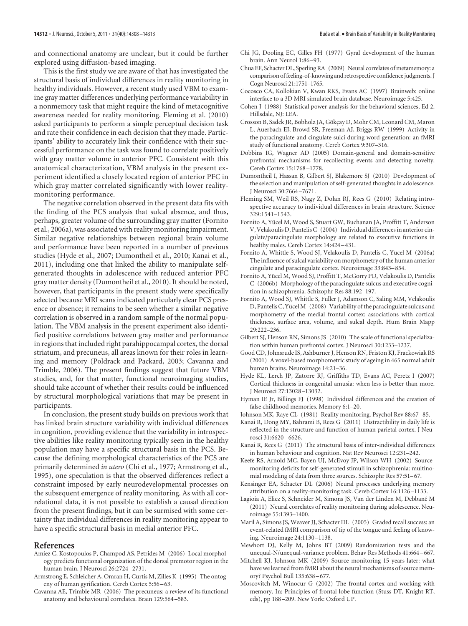and connectional anatomy are unclear, but it could be further explored using diffusion-based imaging.

This is the first study we are aware of that has investigated the structural basis of individual differences in reality monitoring in healthy individuals. However, a recent study used VBM to examine gray matter differences underlying performance variability in a nonmemory task that might require the kind of metacognitive awareness needed for reality monitoring. Fleming et al. (2010) asked participants to perform a simple perceptual decision task and rate their confidence in each decision that they made. Participants' ability to accurately link their confidence with their successful performance on the task was found to correlate positively with gray matter volume in anterior PFC. Consistent with this anatomical characterization, VBM analysis in the present experiment identified a closely located region of anterior PFC in which gray matter correlated significantly with lower realitymonitoring performance.

The negative correlation observed in the present data fits with the finding of the PCS analysis that sulcal absence, and thus, perhaps, greater volume of the surrounding gray matter (Fornito et al., 2006a), was associated with reality monitoring impairment. Similar negative relationships between regional brain volume and performance have been reported in a number of previous studies (Hyde et al., 2007; Dumontheil et al., 2010; Kanai et al., 2011), including one that linked the ability to manipulate selfgenerated thoughts in adolescence with reduced anterior PFC gray matter density (Dumontheil et al., 2010). It should be noted, however, that participants in the present study were specifically selected because MRI scans indicated particularly clear PCS presence or absence; it remains to be seen whether a similar negative correlation is observed in a random sample of the normal population. The VBM analysis in the present experiment also identified positive correlations between gray matter and performance in regions that included right parahippocampal cortex, the dorsal striatum, and precuneus, all areas known for their roles in learning and memory (Poldrack and Packard, 2003; Cavanna and Trimble, 2006). The present findings suggest that future VBM studies, and, for that matter, functional neuroimaging studies, should take account of whether their results could be influenced by structural morphological variations that may be present in participants.

In conclusion, the present study builds on previous work that has linked brain structure variability with individual differences in cognition, providing evidence that the variability in introspective abilities like reality monitoring typically seen in the healthy population may have a specific structural basis in the PCS. Because the defining morphological characteristics of the PCS are primarily determined *in utero* (Chi et al., 1977; Armstrong et al., 1995), one speculation is that the observed differences reflect a constraint imposed by early neurodevelopmental processes on the subsequent emergence of reality monitoring. As with all correlational data, it is not possible to establish a causal direction from the present findings, but it can be surmised with some certainty that individual differences in reality monitoring appear to have a specific structural basis in medial anterior PFC.

#### **References**

- Amiez C, Kostopoulos P, Champod AS, Petrides M (2006) Local morphology predicts functional organization of the dorsal premotor region in the human brain. J Neurosci 26:2724 –2731.
- Armstrong E, Schleicher A, Omran H, Curtis M, Zilles K (1995) The ontogeny of human gyrification. Cereb Cortex 5:56 –63.
- Cavanna AE, Trimble MR (2006) The precuneus: a review of its functional anatomy and behavioural correlates. Brain 129:564 –583.
- Chi JG, Dooling EC, Gilles FH (1977) Gyral development of the human brain. Ann Neurol 1:86 –93.
- Chua EF, Schacter DL, Sperling RA (2009) Neural correlates of metamemory: a comparison offeeling-of-knowing and retrospective confidence judgments. J Cogn Neurosci 21:1751–1765.
- Cocosco CA, Kollokian V, Kwan RKS, Evans AC (1997) Brainweb: online interface to a 3D MRI simulated brain database. Neuroimage 5:425.
- Cohen J (1988) Statistical power analysis for the behavioral sciences, Ed 2. Hillsdale, NJ: LEA.
- Crosson B, Sadek JR, Bobholz JA, Gökçay D, Mohr CM, Leonard CM, Maron L, Auerbach EJ, Browd SR, Freeman AJ, Briggs RW (1999) Activity in the paracingulate and cingulate sulci during word generation: an fMRI study of functional anatomy. Cereb Cortex 9:307–316.
- Dobbins IG, Wagner AD (2005) Domain-general and domain-sensitive prefrontal mechanisms for recollecting events and detecting novelty. Cereb Cortex 15:1768 –1778.
- Dumontheil I, Hassan B, Gilbert SJ, Blakemore SJ (2010) Development of the selection and manipulation of self-generated thoughts in adolescence. J Neurosci 30:7664 –7671.
- Fleming SM, Weil RS, Nagy Z, Dolan RJ, Rees G (2010) Relating introspective accuracy to individual differences in brain structure. Science 329:1541–1543.
- Fornito A, Yücel M, Wood S, Stuart GW, Buchanan JA, Proffitt T, Anderson V, Velakoulis D, Pantelis C (2004) Individual differences in anterior cingulate/paracingulate morphology are related to executive functions in healthy males. Cereb Cortex 14:424-431.
- Fornito A, Whittle S, Wood SJ, Velakoulis D, Pantelis C, Yücel M (2006a) The influence of sulcal variability on morphometry of the human anterior cingulate and paracingulate cortex. Neuroimage 33:843–854.
- Fornito A, Yücel M, Wood SJ, Proffitt T, McGorry PD, Velakoulis D, Pantelis C (2006b) Morphology of the paracingulate sulcus and executive cognition in schizophrenia. Schizophr Res 88:192–197.
- Fornito A, Wood SJ, Whittle S, Fuller J, Adamson C, Saling MM, Velakoulis D, Pantelis C, Yücel M (2008) Variability of the paracingulate sulcus and morphometry of the medial frontal cortex: associations with cortical thickness, surface area, volume, and sulcal depth. Hum Brain Mapp 29:222–236.
- Gilbert SJ, Henson RN, Simons JS (2010) The scale of functional specialization within human prefrontal cortex. J Neurosci 30:1233–1237.
- Good CD, Johnsrude IS, Ashburner J, Henson RN, Friston KJ, Frackowiak RS (2001) A voxel-based morphometric study of ageing in 465 normal adult human brains. Neuroimage 14:21–36.
- Hyde KL, Lerch JP, Zatorre RJ, Griffiths TD, Evans AC, Peretz I (2007) Cortical thickness in congenital amusia: when less is better than more. J Neurosci 27:13028 –13032.
- Hyman IE Jr, Billings FJ (1998) Individual differences and the creation of false childhood memories. Memory 6:1–20.
- Johnson MK, Raye CL (1981) Reality monitoring. Psychol Rev 88:67–85.
- Kanai R, Dong MY, Bahrami B, Rees G (2011) Distractibility in daily life is reflected in the structure and function of human parietal cortex. J Neurosci 31:6620 –6626.
- Kanai R, Rees G (2011) The structural basis of inter-individual differences in human behaviour and cognition. Nat Rev Neurosci 12:231–242.
- Keefe RS, Arnold MC, Bayen UJ, McEvoy JP, Wilson WH (2002) Sourcemonitoring deficits for self-generated stimuli in schizophrenia: multinomial modeling of data from three sources. Schizophr Res 57:51–67.
- Kensinger EA, Schacter DL (2006) Neural processes underlying memory attribution on a reality-monitoring task. Cereb Cortex 16:1126 –1133.
- Lagioia A, Eliez S, Schneider M, Simons JS, Van der Linden M, Debbané M (2011) Neural correlates of reality monitoring during adolescence. Neuroimage 55:1393–1400.
- Maril A, Simons JS, Weaver JJ, Schacter DL (2005) Graded recall success: an event-related fMRI comparison of tip of the tongue and feeling of knowing. Neuroimage 24:1130 –1138.
- Mewhort DJ, Kelly M, Johns BT (2009) Randomization tests and the unequal-N/unequal-variance problem. Behav Res Methods 41:664 –667.
- Mitchell KJ, Johnson MK (2009) Source monitoring 15 years later: what have we learned from fMRI about the neural mechanisms of source memory? Psychol Bull 135:638 –677.
- Moscovitch M, Winocur G (2002) The frontal cortex and working with memory. In: Principles of frontal lobe function (Stuss DT, Knight RT, eds), pp 188 –209. New York: Oxford UP.